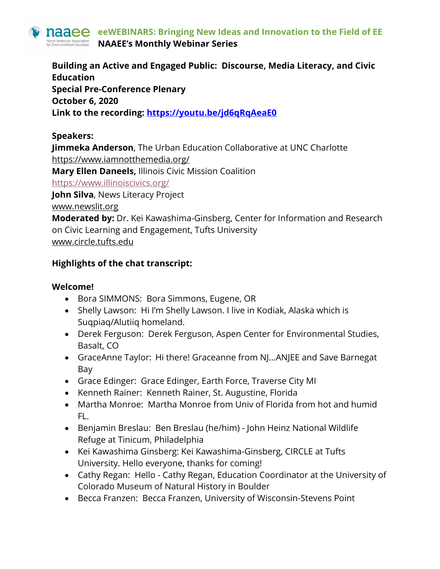

**Building an Active and Engaged Public: Discourse, Media Literacy, and Civic Education Special Pre-Conference Plenary October 6, 2020 Link to the recording: https://youtu.be/jd6qRqAeaE0**

#### **Speakers:**

**Jimmeka Anderson**, The Urban Education Collaborative at UNC Charlotte https://www.iamnotthemedia.org/ **Mary Ellen Daneels,** Illinois Civic Mission Coalition https://www.illinoiscivics.org/ **John Silva**, News Literacy Project www.newslit.org **Moderated by:** Dr. Kei Kawashima-Ginsberg, Center for Information and Research on Civic Learning and Engagement, Tufts University

www.circle.tufts.edu

## **Highlights of the chat transcript:**

#### **Welcome!**

- Bora SIMMONS: Bora Simmons, Eugene, OR
- Shelly Lawson: Hi I'm Shelly Lawson. I live in Kodiak, Alaska which is Suqpiaq/Alutiiq homeland.
- Derek Ferguson: Derek Ferguson, Aspen Center for Environmental Studies, Basalt, CO
- GraceAnne Taylor: Hi there! Graceanne from NJ...ANJEE and Save Barnegat Bay
- Grace Edinger: Grace Edinger, Earth Force, Traverse City MI
- Kenneth Rainer: Kenneth Rainer, St. Augustine, Florida
- Martha Monroe: Martha Monroe from Univ of Florida from hot and humid FL.
- Benjamin Breslau: Ben Breslau (he/him) John Heinz National Wildlife Refuge at Tinicum, Philadelphia
- Kei Kawashima Ginsberg: Kei Kawashima-Ginsberg, CIRCLE at Tufts University. Hello everyone, thanks for coming!
- Cathy Regan: Hello Cathy Regan, Education Coordinator at the University of Colorado Museum of Natural History in Boulder
- Becca Franzen: Becca Franzen, University of Wisconsin-Stevens Point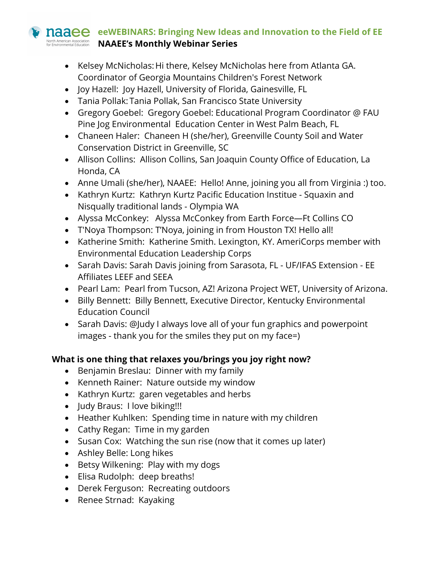### **naaee** eeWEBINARS: Bringing New Ideas and Innovation to the Field of EE **OFTh American Association NAAEE's Monthly Webinar Series**

- Kelsey McNicholas:Hi there, Kelsey McNicholas here from Atlanta GA. Coordinator of Georgia Mountains Children's Forest Network
- Joy Hazell: Joy Hazell, University of Florida, Gainesville, FL
- Tania Pollak: Tania Pollak, San Francisco State University
- Gregory Goebel: Gregory Goebel: Educational Program Coordinator @ FAU Pine Jog Environmental Education Center in West Palm Beach, FL
- Chaneen Haler: Chaneen H (she/her), Greenville County Soil and Water Conservation District in Greenville, SC
- Allison Collins: Allison Collins, San Joaquin County Office of Education, La Honda, CA
- Anne Umali (she/her), NAAEE: Hello! Anne, joining you all from Virginia :) too.
- Kathryn Kurtz: Kathryn Kurtz Pacific Education Institue Squaxin and Nisqually traditional lands - Olympia WA
- Alyssa McConkey: Alyssa McConkey from Earth Force—Ft Collins CO
- T'Noya Thompson: T'Noya, joining in from Houston TX! Hello all!
- Katherine Smith: Katherine Smith. Lexington, KY. AmeriCorps member with Environmental Education Leadership Corps
- Sarah Davis: Sarah Davis joining from Sarasota, FL UF/IFAS Extension EE Affiliates LEEF and SEEA
- Pearl Lam: Pearl from Tucson, AZ! Arizona Project WET, University of Arizona.
- Billy Bennett: Billy Bennett, Executive Director, Kentucky Environmental Education Council
- Sarah Davis: @Judy I always love all of your fun graphics and powerpoint images - thank you for the smiles they put on my face=)

## **What is one thing that relaxes you/brings you joy right now?**

- Benjamin Breslau: Dinner with my family
- Kenneth Rainer: Nature outside my window
- Kathryn Kurtz: garen vegetables and herbs
- Judy Braus: I love biking!!!
- Heather Kuhlken: Spending time in nature with my children
- Cathy Regan: Time in my garden
- Susan Cox: Watching the sun rise (now that it comes up later)
- Ashley Belle: Long hikes
- Betsy Wilkening: Play with my dogs
- Elisa Rudolph: deep breaths!
- Derek Ferguson: Recreating outdoors
- Renee Strnad: Kayaking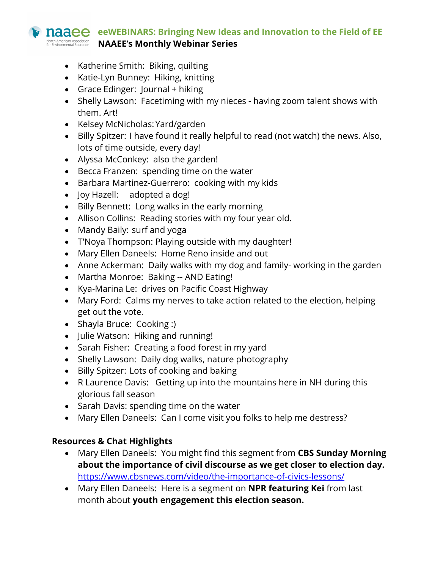# **naaee** eeWEBINARS: Bringing New Ideas and Innovation to the Field of EE A*DER A MERE CONG A ASSOC*LACTON AN A CONSTRANT A CONSIGNATION AND THE SCRIES

- Katherine Smith: Biking, quilting
- Katie-Lyn Bunney: Hiking, knitting
- Grace Edinger: Journal + hiking
- Shelly Lawson: Facetiming with my nieces having zoom talent shows with them. Art!
- Kelsey McNicholas:Yard/garden
- Billy Spitzer: I have found it really helpful to read (not watch) the news. Also, lots of time outside, every day!
- Alyssa McConkey: also the garden!
- Becca Franzen: spending time on the water
- Barbara Martinez-Guerrero: cooking with my kids
- Joy Hazell: adopted a dog!
- Billy Bennett: Long walks in the early morning
- Allison Collins: Reading stories with my four year old.
- Mandy Baily: surf and yoga
- T'Noya Thompson: Playing outside with my daughter!
- Mary Ellen Daneels: Home Reno inside and out
- Anne Ackerman: Daily walks with my dog and family- working in the garden
- Martha Monroe: Baking -- AND Eating!
- Kya-Marina Le: drives on Pacific Coast Highway
- Mary Ford: Calms my nerves to take action related to the election, helping get out the vote.
- Shayla Bruce: Cooking :)
- Julie Watson: Hiking and running!
- Sarah Fisher: Creating a food forest in my yard
- Shelly Lawson: Daily dog walks, nature photography
- Billy Spitzer: Lots of cooking and baking
- R Laurence Davis: Getting up into the mountains here in NH during this glorious fall season
- Sarah Davis: spending time on the water
- Mary Ellen Daneels: Can I come visit you folks to help me destress?

#### **Resources & Chat Highlights**

- Mary Ellen Daneels: You might find this segment from **CBS Sunday Morning about the importance of civil discourse as we get closer to election day.** https://www.cbsnews.com/video/the-importance-of-civics-lessons/
- Mary Ellen Daneels: Here is a segment on **NPR featuring Kei** from last month about **youth engagement this election season.**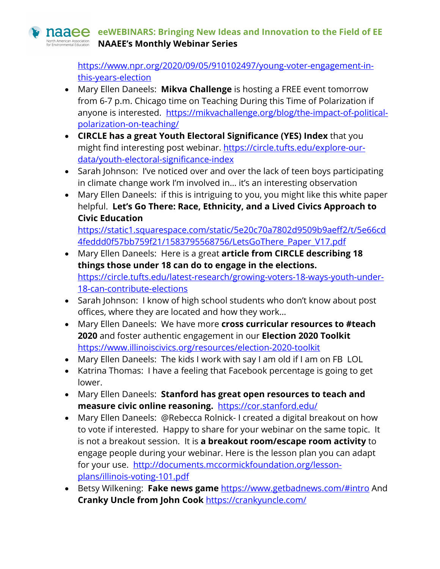# **naaee** eeWEBINARS: Bringing New Ideas and Innovation to the Field of EE **DED** American Association **NAAEE's Monthly Webinar Series**

https://www.npr.org/2020/09/05/910102497/young-voter-engagement-inthis-years-election

- Mary Ellen Daneels: **Mikva Challenge** is hosting a FREE event tomorrow from 6-7 p.m. Chicago time on Teaching During this Time of Polarization if anyone is interested. https://mikvachallenge.org/blog/the-impact-of-politicalpolarization-on-teaching/
- **CIRCLE has a great Youth Electoral Significance (YES) Index** that you might find interesting post webinar. https://circle.tufts.edu/explore-ourdata/youth-electoral-significance-index
- Sarah Johnson: I've noticed over and over the lack of teen boys participating in climate change work I'm involved in… it's an interesting observation
- Mary Ellen Daneels: if this is intriguing to you, you might like this white paper helpful. **Let's Go There: Race, Ethnicity, and a Lived Civics Approach to Civic Education**

https://static1.squarespace.com/static/5e20c70a7802d9509b9aeff2/t/5e66cd 4feddd0f57bb759f21/1583795568756/LetsGoThere\_Paper\_V17.pdf

- Mary Ellen Daneels: Here is a great **article from CIRCLE describing 18 things those under 18 can do to engage in the elections.** https://circle.tufts.edu/latest-research/growing-voters-18-ways-youth-under-18-can-contribute-elections
- Sarah Johnson: I know of high school students who don't know about post offices, where they are located and how they work…
- Mary Ellen Daneels: We have more **cross curricular resources to #teach 2020** and foster authentic engagement in our **Election 2020 Toolkit** https://www.illinoiscivics.org/resources/election-2020-toolkit
- Mary Ellen Daneels: The kids I work with say I am old if I am on FB LOL
- Katrina Thomas: I have a feeling that Facebook percentage is going to get lower.
- Mary Ellen Daneels: **Stanford has great open resources to teach and measure civic online reasoning.** https://cor.stanford.edu/
- Mary Ellen Daneels: @Rebecca Rolnick- I created a digital breakout on how to vote if interested. Happy to share for your webinar on the same topic. It is not a breakout session. It is **a breakout room/escape room activity** to engage people during your webinar. Here is the lesson plan you can adapt for your use. http://documents.mccormickfoundation.org/lessonplans/illinois-voting-101.pdf
- Betsy Wilkening: **Fake news game** https://www.getbadnews.com/#intro And **Cranky Uncle from John Cook** https://crankyuncle.com/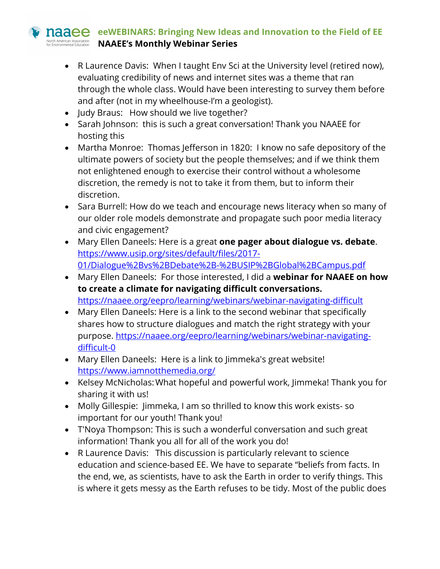## **naaee** eeWEBINARS: Bringing New Ideas and Innovation to the Field of EE **Drith American Association NAAEE's Monthly Webinar Series**

- R Laurence Davis: When I taught Env Sci at the University level (retired now), evaluating credibility of news and internet sites was a theme that ran through the whole class. Would have been interesting to survey them before and after (not in my wheelhouse-I'm a geologist).
- Judy Braus: How should we live together?
- Sarah Johnson: this is such a great conversation! Thank you NAAEE for hosting this
- Martha Monroe: Thomas Jefferson in 1820: I know no safe depository of the ultimate powers of society but the people themselves; and if we think them not enlightened enough to exercise their control without a wholesome discretion, the remedy is not to take it from them, but to inform their discretion.
- Sara Burrell: How do we teach and encourage news literacy when so many of our older role models demonstrate and propagate such poor media literacy and civic engagement?
- Mary Ellen Daneels: Here is a great **one pager about dialogue vs. debate**. https://www.usip.org/sites/default/files/2017- 01/Dialogue%2Bvs%2BDebate%2B-%2BUSIP%2BGlobal%2BCampus.pdf
- Mary Ellen Daneels: For those interested, I did a **webinar for NAAEE on how to create a climate for navigating difficult conversations.** https://naaee.org/eepro/learning/webinars/webinar-navigating-difficult
- Mary Ellen Daneels: Here is a link to the second webinar that specifically shares how to structure dialogues and match the right strategy with your purpose. https://naaee.org/eepro/learning/webinars/webinar-navigatingdifficult-0
- Mary Ellen Daneels: Here is a link to Jimmeka's great website! https://www.iamnotthemedia.org/
- Kelsey McNicholas:What hopeful and powerful work, Jimmeka! Thank you for sharing it with us!
- Molly Gillespie: Jimmeka, I am so thrilled to know this work exists- so important for our youth! Thank you!
- T'Noya Thompson: This is such a wonderful conversation and such great information! Thank you all for all of the work you do!
- R Laurence Davis: This discussion is particularly relevant to science education and science-based EE. We have to separate "beliefs from facts. In the end, we, as scientists, have to ask the Earth in order to verify things. This is where it gets messy as the Earth refuses to be tidy. Most of the public does